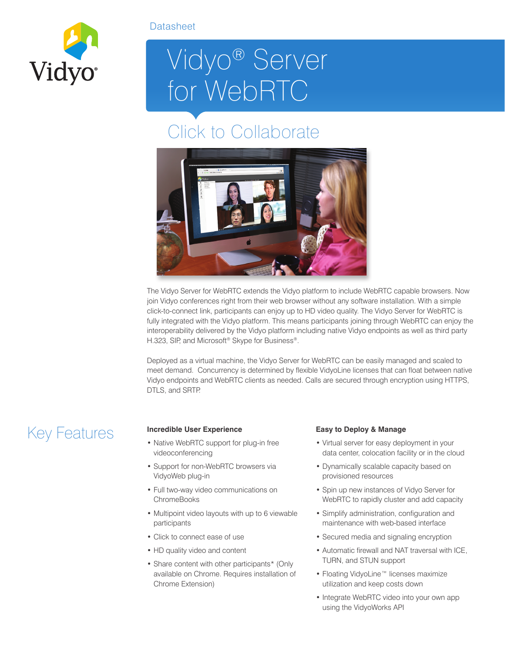

### **Datasheet**

# Vidyo® Server for WebRTC

## Click to Collaborate



The Vidyo Server for WebRTC extends the Vidyo platform to include WebRTC capable browsers. Now join Vidyo conferences right from their web browser without any software installation. With a simple click-to-connect link, participants can enjoy up to HD video quality. The Vidyo Server for WebRTC is fully integrated with the Vidyo platform. This means participants joining through WebRTC can enjoy the interoperability delivered by the Vidyo platform including native Vidyo endpoints as well as third party H.323, SIP, and Microsoft<sup>®</sup> Skype for Business<sup>®</sup>.

Deployed as a virtual machine, the Vidyo Server for WebRTC can be easily managed and scaled to meet demand. Concurrency is determined by flexible VidyoLine licenses that can float between native Vidyo endpoints and WebRTC clients as needed. Calls are secured through encryption using HTTPS, DTLS, and SRTP.

## Key Features **Incredible User Experience**

- Native WebRTC support for plug-in free videoconferencing
- Support for non-WebRTC browsers via VidyoWeb plug-in
- Full two-way video communications on **ChromeBooks**
- Multipoint video layouts with up to 6 viewable participants
- Click to connect ease of use
- HD quality video and content
- Share content with other participants\* (Only available on Chrome. Requires installation of Chrome Extension)

### **Easy to Deploy & Manage**

- Virtual server for easy deployment in your data center, colocation facility or in the cloud
- Dynamically scalable capacity based on provisioned resources
- Spin up new instances of Vidyo Server for WebRTC to rapidly cluster and add capacity
- Simplify administration, configuration and maintenance with web-based interface
- Secured media and signaling encryption
- Automatic firewall and NAT traversal with ICE, TURN, and STUN support
- Floating VidyoLine™ licenses maximize utilization and keep costs down
- Integrate WebRTC video into your own app using the VidyoWorks API